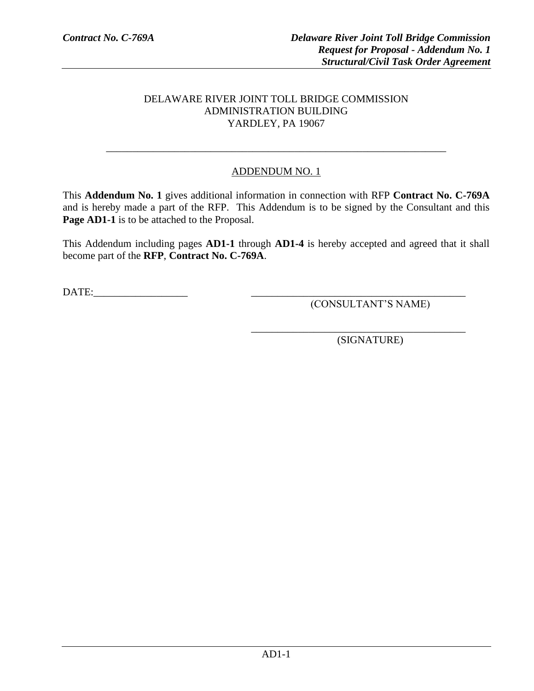# DELAWARE RIVER JOINT TOLL BRIDGE COMMISSION ADMINISTRATION BUILDING YARDLEY, PA 19067

# ADDENDUM NO. 1

\_\_\_\_\_\_\_\_\_\_\_\_\_\_\_\_\_\_\_\_\_\_\_\_\_\_\_\_\_\_\_\_\_\_\_\_\_\_\_\_\_\_\_\_\_\_\_\_\_\_\_\_\_\_\_\_\_\_\_\_\_\_\_\_\_

This **Addendum No. 1** gives additional information in connection with RFP **Contract No. C-769A** and is hereby made a part of the RFP. This Addendum is to be signed by the Consultant and this **Page AD1-1** is to be attached to the Proposal.

This Addendum including pages **AD1-1** through **AD1-4** is hereby accepted and agreed that it shall become part of the **RFP**, **Contract No. C-769A**.

DATE:

(CONSULTANT'S NAME)

(SIGNATURE)

\_\_\_\_\_\_\_\_\_\_\_\_\_\_\_\_\_\_\_\_\_\_\_\_\_\_\_\_\_\_\_\_\_\_\_\_\_\_\_\_\_